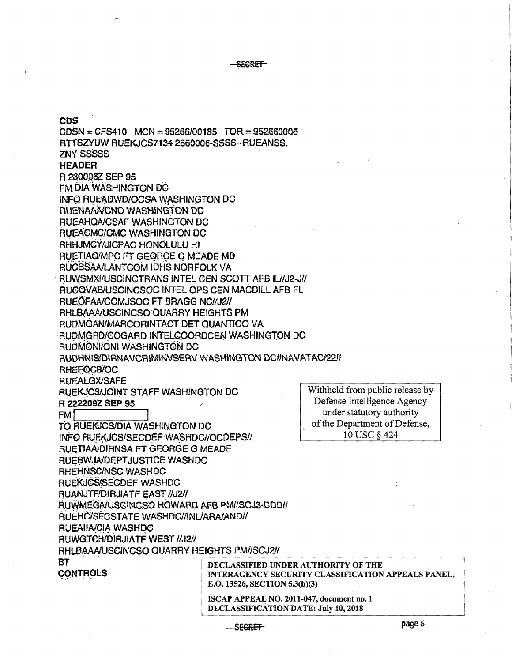SEGRET

CDS<sup>®</sup>  $CDSN = CFS410$  MCN  $= 95266/00185$  TOR  $= 952660006$ RTTSZYUW RUEKJCS7134 2660006-SSSS--RUEANSS. **ZNY SSSSSS HEADER** R 230006Z SEP 95 FM DIA WASHINGTON DC **INFO RUEADWD/OCSA WASHINGTON DC AUENAAA/CNO WASHINGTON DC RUEAHOA/CSAF WASHINGTON DC** RUEACMC/CMC WASHINGTON DC RHHJMCY/JICPAC HONOLULU HI RUETIAQIMPC FT GEORGE G MEADE MD RUCBSAA/LANTCOM IDHS NORFOLK VA RUWSMXI/USCINCTRANS INTEL CEN SCOTT AFB IL/J2-J// RUCQVAB/USCINCSOC INTEL OPS CEN MACDILL AFB FL RUEOFAA/COMJSOC FT BRAGG NC//J2// RHLBAAA/USCINCSO QUARRY HEIGHTS PM RUDMQAN/MARCORINTACT DET QUANTICO VA RUDMGRD/COGARD INTELCOORDCEN WASHINGTON DC RUDMONI/ONI WASHINGTON DC RUDHNIS/DIRNAVCRIMINVSERV WASHINGTON DC//NAVATAC/22/ RHEFOCB/OC **RUEALGX/SAFE** Withheld from public release by RUEKJCS/JOINT STAFF WASHINGTON DC Defense Intelligence Agency R 222209Z SEP 95 under statutory authority **FM** of the Department of Defense, TO RUEKJCS/DIA WASHINGTON DC 10 USC § 424 INFO RUEKJCS/SECDEF WASHDC//OCDEPS// RUETIAA/DIRNSA FT GEORGE G MEADE RUEBWJA/DEPTJUSTICE WASHDC RHEHNSC/NSC WASHDC RUEKJCS/SECDEF WASHDC RUANJTF/DIRJIATF EAST //J2// RUWMEGA/USCINCSO HOWARD AFB PM//SCJ3-DDD// RUEHC/SECSTATE WASHDC//INL/ARA/AND// RUEAIIA/CIA WASHDC **RUWGTCH/DIRJIATF WEST //J2//** RHLBAAA/USCINCSO QUARRY HEIGHTS PM//SCJ2// **BT** DECLASSIFIED UNDER AUTHORITY OF THE **CONTROLS** INTERAGENCY SECURITY CLASSIFICATION APPEALS PANEL, E.O. 13526, SECTION 5.3(b)(3) ISCAP APPEAL NO. 2011-047, document no. 1 DECLASSIFICATION DATE: July 10, 2018

SECRET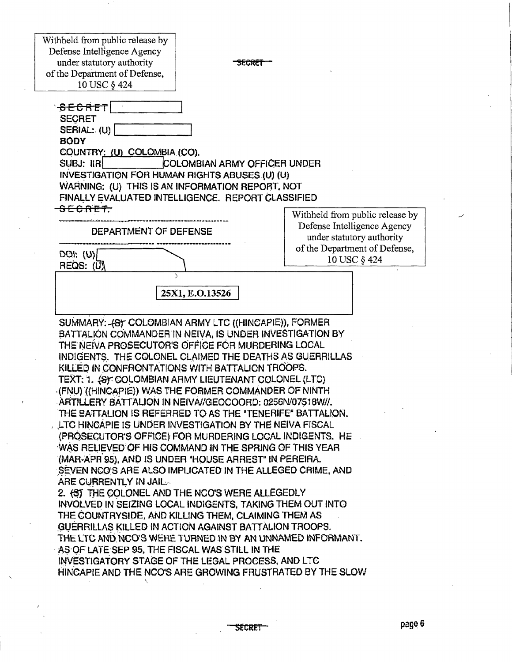Withheld from public release by Defense Intelligence Agency under statutory authority **SECRET** of the Department of Defense, 10 USC § 424 '<del>SECRET</del>I **SECRET** SERIAL: (U) **BODY** COUNTRY: (U) COLOMBIA (CO). SUBJ: IIRI ICOLOMBIAN ARMY OFFICER UNDER INVESTIGATION FOR HUMAN RIGHTS ABUSES (U) (U) WARNING: (U) THIS IS AN INFORMATION REPORT, NOT FINALLY EVALUATED INTELLIGENCE. REPORT CLASSIFIED SECRET. Withheld from public release by Defense Intelligence Agency DEPARTMENT OF DEFENSE under statutory authority of the Department of Defense,  $DO: (U)$ 10 USC § 424 REQS: (U) 25X1, E.O.13526 SUMMARY: 487 COLOMBIAN ARMY LTC ((HINCAPIE)), FORMER BATTALION COMMANDER IN NEIVA, IS UNDER INVESTIGATION BY THE NEIVA PROSECUTOR'S OFFICE FOR MURDERING LOCAL INDIGENTS. THE COLONEL CLAIMED THE DEATHS AS GUERRILLAS KILLED IN CONFRONTATIONS WITH BATTALION TROOPS. TEXT: 1. (S): COLOMBIAN ARMY LIEUTENANT COLONEL (LTC) (FNU) ((HINCAPIE)) WAS THE FORMER COMMANDER OF NINTH ARTILLERY BATTALION IN NEIVA//GEOCOORD: 0256N/07518W//. THE BATTALION IS REFERRED TO AS THE "TENERIFE" BATTALION. LTC HINCAPIE IS UNDER INVESTIGATION BY THE NEIVA FISCAL (PROSECUTOR'S OFFICE) FOR MURDERING LOCAL INDIGENTS. HE WAS RELIEVED OF HIS COMMAND IN THE SPRING OF THIS YEAR (MAR-APR 95), AND IS UNDER "HOUSE ARREST" IN PEREIRA. SEVEN NCO'S ARE ALSO IMPLICATED IN THE ALLEGED CRIME, AND ARE CURRENTLY IN JAIL. 2. (ST THE COLONEL AND THE NCO'S WERE ALLEGEDLY INVOLVED IN SEIZING LOCAL INDIGENTS, TAKING THEM OUT INTO THE COUNTRYSIDE, AND KILLING THEM, CLAIMING THEM AS GUERRILLAS KILLED IN ACTION AGAINST BATTALION TROOPS. THE LTC AND NCO'S WERE TURNED IN BY AN UNNAMED INFORMANT. AS OF LATE SEP 95, THE FISCAL WAS STILL IN THE INVESTIGATORY STAGE OF THE LEGAL PROCESS, AND LTC HINCAPIE AND THE NCO'S ARE GROWING FRUSTRATED BY THE SLOW